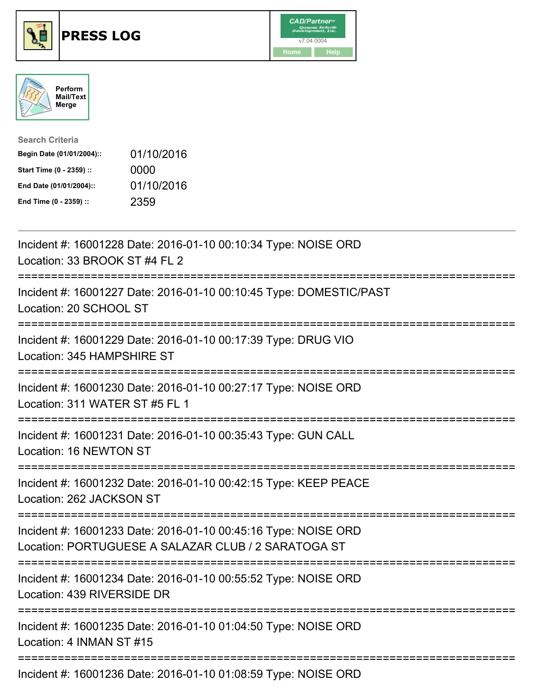





| <b>Search Criteria</b>    |            |
|---------------------------|------------|
| Begin Date (01/01/2004):: | 01/10/2016 |
| Start Time (0 - 2359) ::  | 0000       |
| End Date (01/01/2004)::   | 01/10/2016 |
| End Time (0 - 2359) ::    | 2359       |

| Incident #: 16001228 Date: 2016-01-10 00:10:34 Type: NOISE ORD<br>Location: 33 BROOK ST #4 FL 2                       |
|-----------------------------------------------------------------------------------------------------------------------|
| Incident #: 16001227 Date: 2016-01-10 00:10:45 Type: DOMESTIC/PAST<br>Location: 20 SCHOOL ST                          |
| Incident #: 16001229 Date: 2016-01-10 00:17:39 Type: DRUG VIO<br>Location: 345 HAMPSHIRE ST                           |
| Incident #: 16001230 Date: 2016-01-10 00:27:17 Type: NOISE ORD<br>Location: 311 WATER ST #5 FL 1                      |
| Incident #: 16001231 Date: 2016-01-10 00:35:43 Type: GUN CALL<br>Location: 16 NEWTON ST                               |
| Incident #: 16001232 Date: 2016-01-10 00:42:15 Type: KEEP PEACE<br>Location: 262 JACKSON ST<br>===================    |
| Incident #: 16001233 Date: 2016-01-10 00:45:16 Type: NOISE ORD<br>Location: PORTUGUESE A SALAZAR CLUB / 2 SARATOGA ST |
| Incident #: 16001234 Date: 2016-01-10 00:55:52 Type: NOISE ORD<br>Location: 439 RIVERSIDE DR                          |
| Incident #: 16001235 Date: 2016-01-10 01:04:50 Type: NOISE ORD<br>Location: 4 INMAN ST #15                            |
| Incident #: 16001236 Date: 2016-01-10 01:08:59 Type: NOISE ORD                                                        |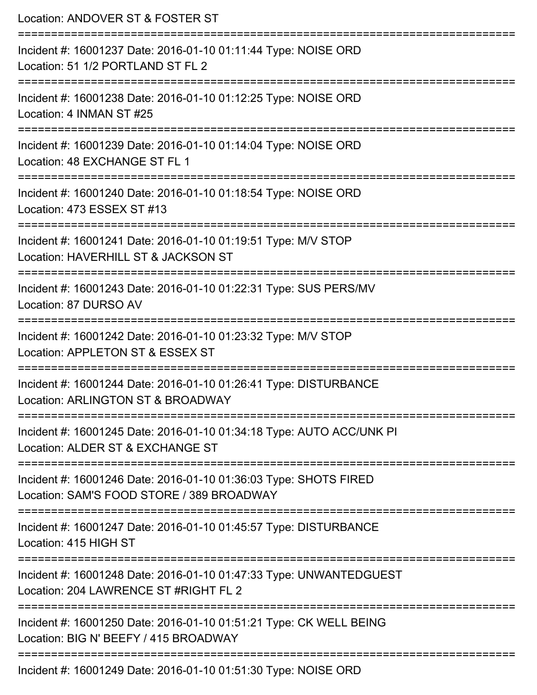| Location: ANDOVER ST & FOSTER ST                                                                                                              |
|-----------------------------------------------------------------------------------------------------------------------------------------------|
| Incident #: 16001237 Date: 2016-01-10 01:11:44 Type: NOISE ORD<br>Location: 51 1/2 PORTLAND ST FL 2<br>====================================== |
| Incident #: 16001238 Date: 2016-01-10 01:12:25 Type: NOISE ORD<br>Location: 4 INMAN ST #25                                                    |
| Incident #: 16001239 Date: 2016-01-10 01:14:04 Type: NOISE ORD<br>Location: 48 EXCHANGE ST FL 1<br>==================================         |
| Incident #: 16001240 Date: 2016-01-10 01:18:54 Type: NOISE ORD<br>Location: 473 ESSEX ST #13                                                  |
| Incident #: 16001241 Date: 2016-01-10 01:19:51 Type: M/V STOP<br>Location: HAVERHILL ST & JACKSON ST                                          |
| ====================<br>Incident #: 16001243 Date: 2016-01-10 01:22:31 Type: SUS PERS/MV<br>Location: 87 DURSO AV                             |
| Incident #: 16001242 Date: 2016-01-10 01:23:32 Type: M/V STOP<br>Location: APPLETON ST & ESSEX ST                                             |
| -------------<br>Incident #: 16001244 Date: 2016-01-10 01:26:41 Type: DISTURBANCE<br>Location: ARLINGTON ST & BROADWAY                        |
| Incident #: 16001245 Date: 2016-01-10 01:34:18 Type: AUTO ACC/UNK PI<br>Location: ALDER ST & EXCHANGE ST                                      |
| Incident #: 16001246 Date: 2016-01-10 01:36:03 Type: SHOTS FIRED<br>Location: SAM'S FOOD STORE / 389 BROADWAY                                 |
| Incident #: 16001247 Date: 2016-01-10 01:45:57 Type: DISTURBANCE<br>Location: 415 HIGH ST                                                     |
| Incident #: 16001248 Date: 2016-01-10 01:47:33 Type: UNWANTEDGUEST<br>Location: 204 LAWRENCE ST #RIGHT FL 2                                   |
| Incident #: 16001250 Date: 2016-01-10 01:51:21 Type: CK WELL BEING<br>Location: BIG N' BEEFY / 415 BROADWAY                                   |
| Incident #: 16001249 Date: 2016-01-10 01:51:30 Type: NOISE ORD                                                                                |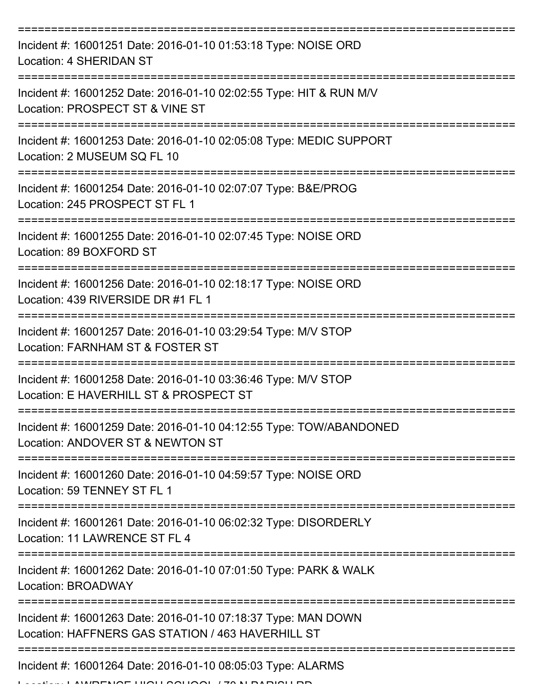| Incident #: 16001251 Date: 2016-01-10 01:53:18 Type: NOISE ORD<br>Location: 4 SHERIDAN ST                          |
|--------------------------------------------------------------------------------------------------------------------|
| Incident #: 16001252 Date: 2016-01-10 02:02:55 Type: HIT & RUN M/V<br>Location: PROSPECT ST & VINE ST              |
| Incident #: 16001253 Date: 2016-01-10 02:05:08 Type: MEDIC SUPPORT<br>Location: 2 MUSEUM SQ FL 10                  |
| Incident #: 16001254 Date: 2016-01-10 02:07:07 Type: B&E/PROG<br>Location: 245 PROSPECT ST FL 1                    |
| Incident #: 16001255 Date: 2016-01-10 02:07:45 Type: NOISE ORD<br>Location: 89 BOXFORD ST                          |
| Incident #: 16001256 Date: 2016-01-10 02:18:17 Type: NOISE ORD<br>Location: 439 RIVERSIDE DR #1 FL 1               |
| Incident #: 16001257 Date: 2016-01-10 03:29:54 Type: M/V STOP<br>Location: FARNHAM ST & FOSTER ST                  |
| Incident #: 16001258 Date: 2016-01-10 03:36:46 Type: M/V STOP<br>Location: E HAVERHILL ST & PROSPECT ST            |
| Incident #: 16001259 Date: 2016-01-10 04:12:55 Type: TOW/ABANDONED<br>Location: ANDOVER ST & NEWTON ST             |
| Incident #: 16001260 Date: 2016-01-10 04:59:57 Type: NOISE ORD<br>Location: 59 TENNEY ST FL 1                      |
| Incident #: 16001261 Date: 2016-01-10 06:02:32 Type: DISORDERLY<br>Location: 11 LAWRENCE ST FL 4                   |
| Incident #: 16001262 Date: 2016-01-10 07:01:50 Type: PARK & WALK<br><b>Location: BROADWAY</b>                      |
| Incident #: 16001263 Date: 2016-01-10 07:18:37 Type: MAN DOWN<br>Location: HAFFNERS GAS STATION / 463 HAVERHILL ST |
| Incident #: 16001264 Date: 2016-01-10 08:05:03 Type: ALARMS                                                        |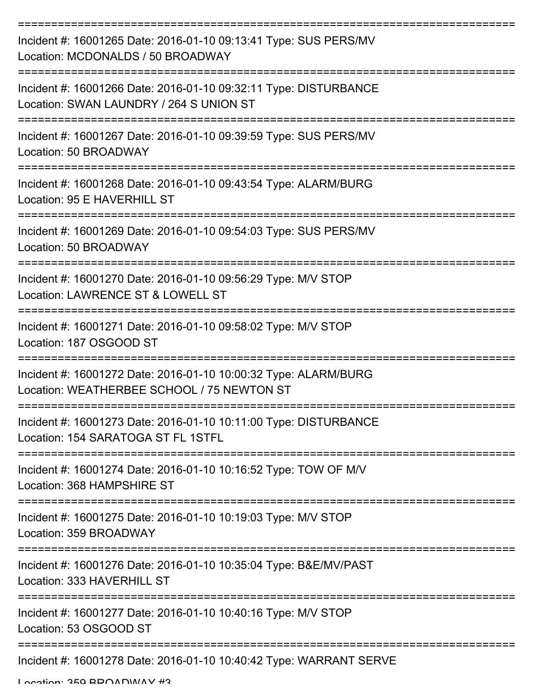| Incident #: 16001265 Date: 2016-01-10 09:13:41 Type: SUS PERS/MV<br>Location: MCDONALDS / 50 BROADWAY         |
|---------------------------------------------------------------------------------------------------------------|
| Incident #: 16001266 Date: 2016-01-10 09:32:11 Type: DISTURBANCE<br>Location: SWAN LAUNDRY / 264 S UNION ST   |
| Incident #: 16001267 Date: 2016-01-10 09:39:59 Type: SUS PERS/MV<br>Location: 50 BROADWAY                     |
| Incident #: 16001268 Date: 2016-01-10 09:43:54 Type: ALARM/BURG<br>Location: 95 E HAVERHILL ST                |
| Incident #: 16001269 Date: 2016-01-10 09:54:03 Type: SUS PERS/MV<br>Location: 50 BROADWAY                     |
| Incident #: 16001270 Date: 2016-01-10 09:56:29 Type: M/V STOP<br>Location: LAWRENCE ST & LOWELL ST            |
| Incident #: 16001271 Date: 2016-01-10 09:58:02 Type: M/V STOP<br>Location: 187 OSGOOD ST                      |
| Incident #: 16001272 Date: 2016-01-10 10:00:32 Type: ALARM/BURG<br>Location: WEATHERBEE SCHOOL / 75 NEWTON ST |
| Incident #: 16001273 Date: 2016-01-10 10:11:00 Type: DISTURBANCE<br>Location: 154 SARATOGA ST FL 1STFL        |
| Incident #: 16001274 Date: 2016-01-10 10:16:52 Type: TOW OF M/V<br>Location: 368 HAMPSHIRE ST                 |
| Incident #: 16001275 Date: 2016-01-10 10:19:03 Type: M/V STOP<br>Location: 359 BROADWAY                       |
| Incident #: 16001276 Date: 2016-01-10 10:35:04 Type: B&E/MV/PAST<br>Location: 333 HAVERHILL ST                |
| Incident #: 16001277 Date: 2016-01-10 10:40:16 Type: M/V STOP<br>Location: 53 OSGOOD ST                       |
| Incident #: 16001278 Date: 2016-01-10 10:40:42 Type: WARRANT SERVE                                            |

Location: 359 BROADWAY #3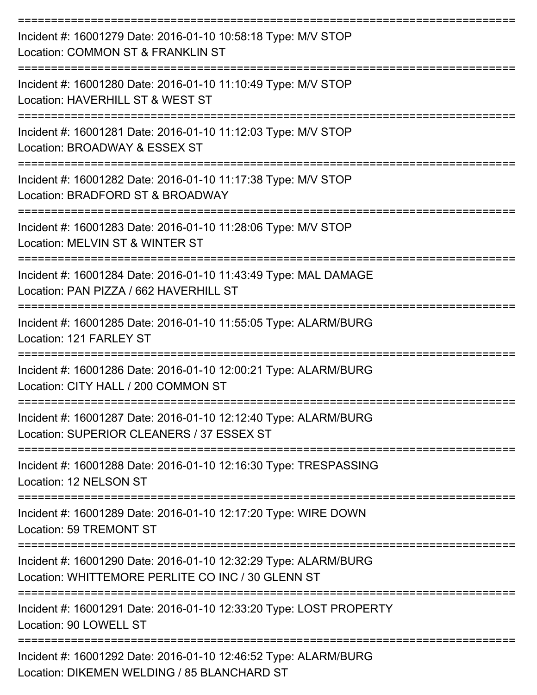| Incident #: 16001279 Date: 2016-01-10 10:58:18 Type: M/V STOP<br>Location: COMMON ST & FRANKLIN ST                   |
|----------------------------------------------------------------------------------------------------------------------|
| Incident #: 16001280 Date: 2016-01-10 11:10:49 Type: M/V STOP<br>Location: HAVERHILL ST & WEST ST                    |
| Incident #: 16001281 Date: 2016-01-10 11:12:03 Type: M/V STOP<br>Location: BROADWAY & ESSEX ST                       |
| Incident #: 16001282 Date: 2016-01-10 11:17:38 Type: M/V STOP<br>Location: BRADFORD ST & BROADWAY                    |
| Incident #: 16001283 Date: 2016-01-10 11:28:06 Type: M/V STOP<br>Location: MELVIN ST & WINTER ST                     |
| Incident #: 16001284 Date: 2016-01-10 11:43:49 Type: MAL DAMAGE<br>Location: PAN PIZZA / 662 HAVERHILL ST            |
| Incident #: 16001285 Date: 2016-01-10 11:55:05 Type: ALARM/BURG<br>Location: 121 FARLEY ST                           |
| Incident #: 16001286 Date: 2016-01-10 12:00:21 Type: ALARM/BURG<br>Location: CITY HALL / 200 COMMON ST               |
| Incident #: 16001287 Date: 2016-01-10 12:12:40 Type: ALARM/BURG<br>Location: SUPERIOR CLEANERS / 37 ESSEX ST         |
| Incident #: 16001288 Date: 2016-01-10 12:16:30 Type: TRESPASSING<br>Location: 12 NELSON ST                           |
| Incident #: 16001289 Date: 2016-01-10 12:17:20 Type: WIRE DOWN<br><b>Location: 59 TREMONT ST</b>                     |
| Incident #: 16001290 Date: 2016-01-10 12:32:29 Type: ALARM/BURG<br>Location: WHITTEMORE PERLITE CO INC / 30 GLENN ST |
| Incident #: 16001291 Date: 2016-01-10 12:33:20 Type: LOST PROPERTY<br>Location: 90 LOWELL ST                         |
| Incident #: 16001292 Date: 2016-01-10 12:46:52 Type: ALARM/BURG<br>Location: DIKEMEN WELDING / 85 BLANCHARD ST       |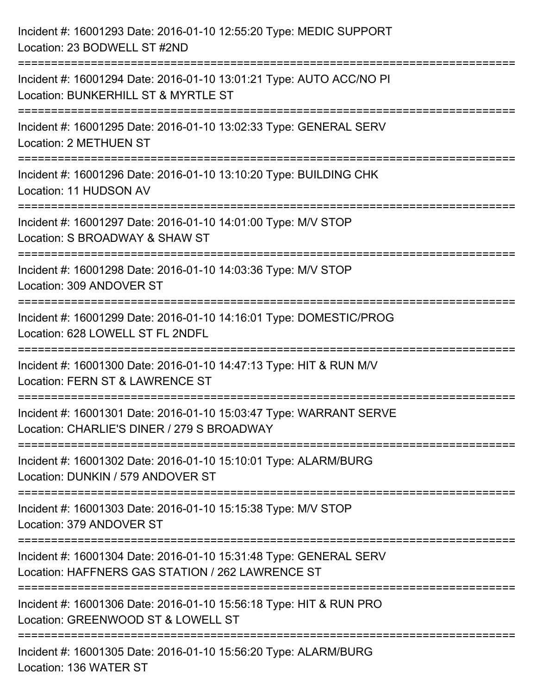| Incident #: 16001293 Date: 2016-01-10 12:55:20 Type: MEDIC SUPPORT<br>Location: 23 BODWELL ST #2ND                                   |
|--------------------------------------------------------------------------------------------------------------------------------------|
| Incident #: 16001294 Date: 2016-01-10 13:01:21 Type: AUTO ACC/NO PI<br>Location: BUNKERHILL ST & MYRTLE ST                           |
| Incident #: 16001295 Date: 2016-01-10 13:02:33 Type: GENERAL SERV<br><b>Location: 2 METHUEN ST</b><br>============================== |
| Incident #: 16001296 Date: 2016-01-10 13:10:20 Type: BUILDING CHK<br>Location: 11 HUDSON AV                                          |
| Incident #: 16001297 Date: 2016-01-10 14:01:00 Type: M/V STOP<br>Location: S BROADWAY & SHAW ST                                      |
| Incident #: 16001298 Date: 2016-01-10 14:03:36 Type: M/V STOP<br>Location: 309 ANDOVER ST                                            |
| Incident #: 16001299 Date: 2016-01-10 14:16:01 Type: DOMESTIC/PROG<br>Location: 628 LOWELL ST FL 2NDFL                               |
| Incident #: 16001300 Date: 2016-01-10 14:47:13 Type: HIT & RUN M/V<br>Location: FERN ST & LAWRENCE ST                                |
| Incident #: 16001301 Date: 2016-01-10 15:03:47 Type: WARRANT SERVE<br>Location: CHARLIE'S DINER / 279 S BROADWAY                     |
| Incident #: 16001302 Date: 2016-01-10 15:10:01 Type: ALARM/BURG<br>Location: DUNKIN / 579 ANDOVER ST                                 |
| Incident #: 16001303 Date: 2016-01-10 15:15:38 Type: M/V STOP<br>Location: 379 ANDOVER ST                                            |
| Incident #: 16001304 Date: 2016-01-10 15:31:48 Type: GENERAL SERV<br>Location: HAFFNERS GAS STATION / 262 LAWRENCE ST                |
| Incident #: 16001306 Date: 2016-01-10 15:56:18 Type: HIT & RUN PRO<br>Location: GREENWOOD ST & LOWELL ST                             |
| Incident #: 16001305 Date: 2016-01-10 15:56:20 Type: ALARM/BURG<br>Location: 136 WATER ST                                            |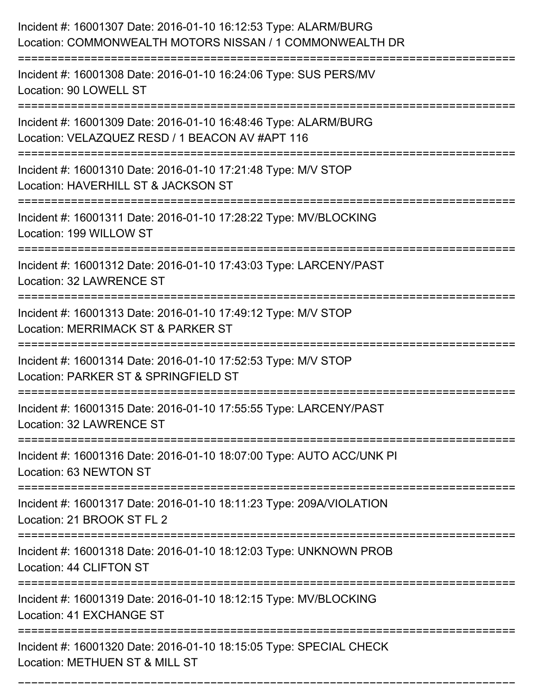| Incident #: 16001307 Date: 2016-01-10 16:12:53 Type: ALARM/BURG<br>Location: COMMONWEALTH MOTORS NISSAN / 1 COMMONWEALTH DR        |
|------------------------------------------------------------------------------------------------------------------------------------|
| Incident #: 16001308 Date: 2016-01-10 16:24:06 Type: SUS PERS/MV<br>Location: 90 LOWELL ST                                         |
| Incident #: 16001309 Date: 2016-01-10 16:48:46 Type: ALARM/BURG<br>Location: VELAZQUEZ RESD / 1 BEACON AV #APT 116                 |
| Incident #: 16001310 Date: 2016-01-10 17:21:48 Type: M/V STOP<br>Location: HAVERHILL ST & JACKSON ST                               |
| Incident #: 16001311 Date: 2016-01-10 17:28:22 Type: MV/BLOCKING<br>Location: 199 WILLOW ST                                        |
| Incident #: 16001312 Date: 2016-01-10 17:43:03 Type: LARCENY/PAST<br>Location: 32 LAWRENCE ST                                      |
| Incident #: 16001313 Date: 2016-01-10 17:49:12 Type: M/V STOP<br>Location: MERRIMACK ST & PARKER ST                                |
| Incident #: 16001314 Date: 2016-01-10 17:52:53 Type: M/V STOP<br>Location: PARKER ST & SPRINGFIELD ST                              |
| Incident #: 16001315 Date: 2016-01-10 17:55:55 Type: LARCENY/PAST<br>Location: 32 LAWRENCE ST                                      |
| Incident #: 16001316 Date: 2016-01-10 18:07:00 Type: AUTO ACC/UNK PI<br>Location: 63 NEWTON ST<br>:=============================== |
| Incident #: 16001317 Date: 2016-01-10 18:11:23 Type: 209A/VIOLATION<br>Location: 21 BROOK ST FL 2                                  |
| Incident #: 16001318 Date: 2016-01-10 18:12:03 Type: UNKNOWN PROB<br>Location: 44 CLIFTON ST                                       |
| Incident #: 16001319 Date: 2016-01-10 18:12:15 Type: MV/BLOCKING<br>Location: 41 EXCHANGE ST                                       |
| Incident #: 16001320 Date: 2016-01-10 18:15:05 Type: SPECIAL CHECK<br>Location: METHUEN ST & MILL ST                               |

===========================================================================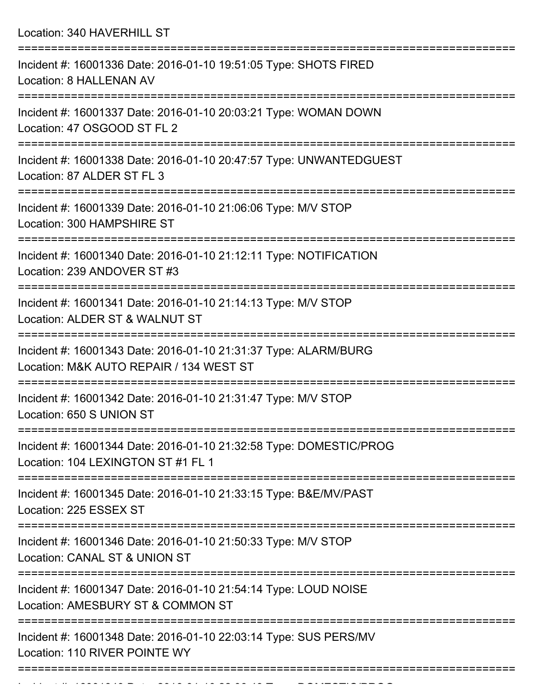Location: 340 HAVERHILL ST

| Incident #: 16001336 Date: 2016-01-10 19:51:05 Type: SHOTS FIRED<br>Location: 8 HALLENAN AV                |
|------------------------------------------------------------------------------------------------------------|
| Incident #: 16001337 Date: 2016-01-10 20:03:21 Type: WOMAN DOWN<br>Location: 47 OSGOOD ST FL 2             |
| Incident #: 16001338 Date: 2016-01-10 20:47:57 Type: UNWANTEDGUEST<br>Location: 87 ALDER ST FL 3           |
| Incident #: 16001339 Date: 2016-01-10 21:06:06 Type: M/V STOP<br>Location: 300 HAMPSHIRE ST                |
| Incident #: 16001340 Date: 2016-01-10 21:12:11 Type: NOTIFICATION<br>Location: 239 ANDOVER ST #3           |
| Incident #: 16001341 Date: 2016-01-10 21:14:13 Type: M/V STOP<br>Location: ALDER ST & WALNUT ST            |
| Incident #: 16001343 Date: 2016-01-10 21:31:37 Type: ALARM/BURG<br>Location: M&K AUTO REPAIR / 134 WEST ST |
| Incident #: 16001342 Date: 2016-01-10 21:31:47 Type: M/V STOP<br>Location: 650 S UNION ST                  |
| Incident #: 16001344 Date: 2016-01-10 21:32:58 Type: DOMESTIC/PROG<br>Location: 104 LEXINGTON ST #1 FL 1   |
| Incident #: 16001345 Date: 2016-01-10 21:33:15 Type: B&E/MV/PAST<br>Location: 225 ESSEX ST                 |
| Incident #: 16001346 Date: 2016-01-10 21:50:33 Type: M/V STOP<br>Location: CANAL ST & UNION ST             |
| Incident #: 16001347 Date: 2016-01-10 21:54:14 Type: LOUD NOISE<br>Location: AMESBURY ST & COMMON ST       |
| Incident #: 16001348 Date: 2016-01-10 22:03:14 Type: SUS PERS/MV<br>Location: 110 RIVER POINTE WY          |
|                                                                                                            |